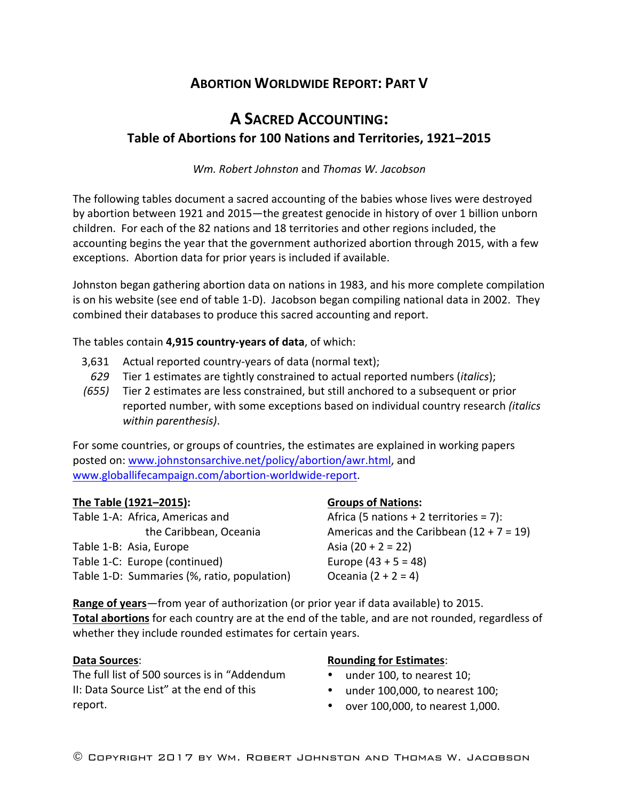## **ABORTION WORLDWIDE REPORT: PART V**

# **A SACRED ACCOUNTING: Table of Abortions for 100 Nations and Territories, 1921–2015**

*Wm. Robert Johnston* and *Thomas W. Jacobson*

The following tables document a sacred accounting of the babies whose lives were destroyed by abortion between 1921 and 2015—the greatest genocide in history of over 1 billion unborn children. For each of the 82 nations and 18 territories and other regions included, the accounting begins the year that the government authorized abortion through 2015, with a few exceptions. Abortion data for prior years is included if available.

Johnston began gathering abortion data on nations in 1983, and his more complete compilation is on his website (see end of table 1-D). Jacobson began compiling national data in 2002. They combined their databases to produce this sacred accounting and report.

The tables contain 4,915 country-years of data, of which:

- $3,631$  Actual reported country-years of data (normal text); 629 Tier 1 estimates are tightly constrained to actual reported numbers (*italics*);
- *(655)* Tier 2 estimates are less constrained, but still anchored to a subsequent or prior reported number, with some exceptions based on individual country research *(italics*) *within parenthesis)*.

For some countries, or groups of countries, the estimates are explained in working papers posted on: www.johnstonsarchive.net/policy/abortion/awr.html, and www.globallifecampaign.com/abortion-worldwide-report.

## The Table (1921–2015):

Table 1-A: Africa, Americas and the Caribbean, Oceania Table 1-B: Asia, Europe Table 1-C: Europe (continued) Table 1-D: Summaries (%, ratio, population)

## **Groups of Nations:**

Africa (5 nations  $+ 2$  territories = 7): Americas and the Caribbean  $(12 + 7 = 19)$ Asia  $(20 + 2 = 22)$ Europe  $(43 + 5 = 48)$ Oceania  $(2 + 2 = 4)$ 

**Range of years**—from year of authorization (or prior year if data available) to 2015. Total abortions for each country are at the end of the table, and are not rounded, regardless of whether they include rounded estimates for certain years.

#### **Data Sources**:

The full list of 500 sources is in "Addendum II: Data Source List" at the end of this report. 

## **Rounding for Estimates:**

- under 100, to nearest 10;
- $\bullet$  under 100,000, to nearest 100;
- over 100,000, to nearest 1,000.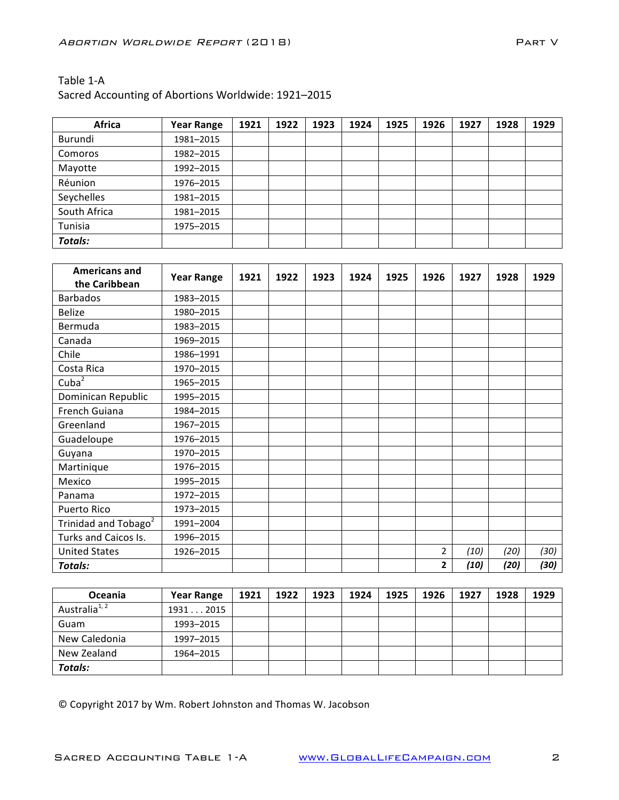Sacred Accounting of Abortions Worldwide: 1921-2015

| <b>Africa</b>  | <b>Year Range</b> | 1921 | 1922 | 1923 | 1924 | 1925 | 1926 | 1927 | 1928 | 1929 |
|----------------|-------------------|------|------|------|------|------|------|------|------|------|
| Burundi        | 1981-2015         |      |      |      |      |      |      |      |      |      |
| Comoros        | 1982-2015         |      |      |      |      |      |      |      |      |      |
| Mayotte        | 1992-2015         |      |      |      |      |      |      |      |      |      |
| Réunion        | 1976-2015         |      |      |      |      |      |      |      |      |      |
| Seychelles     | 1981-2015         |      |      |      |      |      |      |      |      |      |
| South Africa   | 1981-2015         |      |      |      |      |      |      |      |      |      |
| Tunisia        | 1975-2015         |      |      |      |      |      |      |      |      |      |
| <b>Totals:</b> |                   |      |      |      |      |      |      |      |      |      |

| <b>Americans and</b>             | <b>Year Range</b> | 1921 | 1922 | 1923 | 1924 | 1925 | 1926           | 1927 | 1928 | 1929 |
|----------------------------------|-------------------|------|------|------|------|------|----------------|------|------|------|
| the Caribbean                    |                   |      |      |      |      |      |                |      |      |      |
| <b>Barbados</b>                  | 1983-2015         |      |      |      |      |      |                |      |      |      |
| <b>Belize</b>                    | 1980-2015         |      |      |      |      |      |                |      |      |      |
| Bermuda                          | 1983-2015         |      |      |      |      |      |                |      |      |      |
| Canada                           | 1969-2015         |      |      |      |      |      |                |      |      |      |
| Chile                            | 1986-1991         |      |      |      |      |      |                |      |      |      |
| Costa Rica                       | 1970-2015         |      |      |      |      |      |                |      |      |      |
| Cuba <sup>2</sup>                | 1965-2015         |      |      |      |      |      |                |      |      |      |
| Dominican Republic               | 1995-2015         |      |      |      |      |      |                |      |      |      |
| French Guiana                    | 1984-2015         |      |      |      |      |      |                |      |      |      |
| Greenland                        | 1967-2015         |      |      |      |      |      |                |      |      |      |
| Guadeloupe                       | 1976-2015         |      |      |      |      |      |                |      |      |      |
| Guyana                           | 1970-2015         |      |      |      |      |      |                |      |      |      |
| Martinique                       | 1976-2015         |      |      |      |      |      |                |      |      |      |
| Mexico                           | 1995-2015         |      |      |      |      |      |                |      |      |      |
| Panama                           | 1972-2015         |      |      |      |      |      |                |      |      |      |
| Puerto Rico                      | 1973-2015         |      |      |      |      |      |                |      |      |      |
| Trinidad and Tobago <sup>2</sup> | 1991-2004         |      |      |      |      |      |                |      |      |      |
| Turks and Caicos Is.             | 1996-2015         |      |      |      |      |      |                |      |      |      |
| <b>United States</b>             | 1926-2015         |      |      |      |      |      | $\overline{2}$ | (10) | (20) | (30) |
| Totals:                          |                   |      |      |      |      |      | $\mathbf{2}$   | (10) | (20) | (30) |

| <b>Oceania</b>            | <b>Year Range</b> | 1921 | 1922 | 1923 | 1924 | 1925 | 1926 | 1927 | 1928 | 1929 |
|---------------------------|-------------------|------|------|------|------|------|------|------|------|------|
| Australia <sup>1, 2</sup> | 19312015          |      |      |      |      |      |      |      |      |      |
| Guam                      | 1993-2015         |      |      |      |      |      |      |      |      |      |
| New Caledonia             | 1997-2015         |      |      |      |      |      |      |      |      |      |
| New Zealand               | 1964-2015         |      |      |      |      |      |      |      |      |      |
| <b>Totals:</b>            |                   |      |      |      |      |      |      |      |      |      |

© Copyright 2017 by Wm. Robert Johnston and Thomas W. Jacobson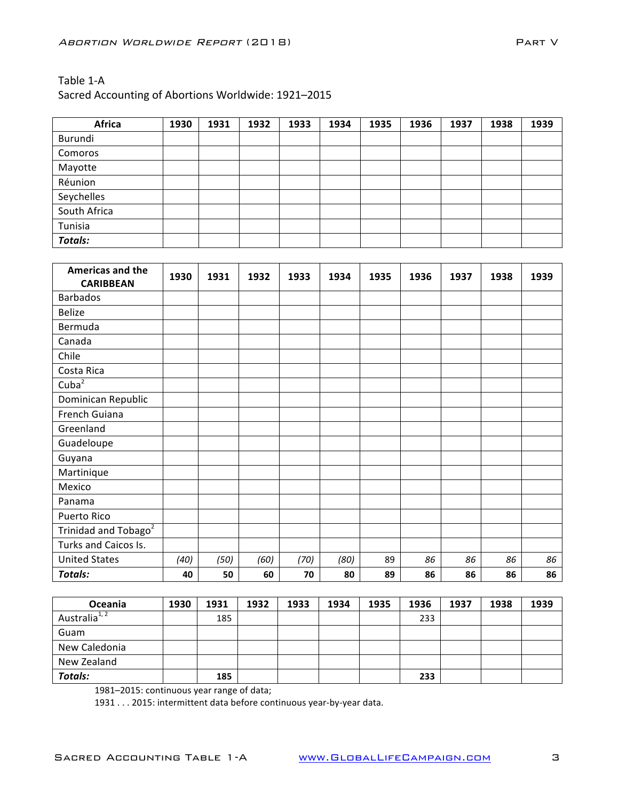#### Sacred Accounting of Abortions Worldwide: 1921-2015

| <b>Africa</b>  | 1930 | 1931 | 1932 | 1933 | 1934 | 1935 | 1936 | 1937 | 1938 | 1939 |
|----------------|------|------|------|------|------|------|------|------|------|------|
| Burundi        |      |      |      |      |      |      |      |      |      |      |
| Comoros        |      |      |      |      |      |      |      |      |      |      |
| Mayotte        |      |      |      |      |      |      |      |      |      |      |
| Réunion        |      |      |      |      |      |      |      |      |      |      |
| Seychelles     |      |      |      |      |      |      |      |      |      |      |
| South Africa   |      |      |      |      |      |      |      |      |      |      |
| Tunisia        |      |      |      |      |      |      |      |      |      |      |
| <b>Totals:</b> |      |      |      |      |      |      |      |      |      |      |

| <b>Americas and the</b><br><b>CARIBBEAN</b> | 1930 | 1931 | 1932 | 1933 | 1934 | 1935 | 1936 | 1937 | 1938 | 1939 |
|---------------------------------------------|------|------|------|------|------|------|------|------|------|------|
| <b>Barbados</b>                             |      |      |      |      |      |      |      |      |      |      |
| <b>Belize</b>                               |      |      |      |      |      |      |      |      |      |      |
| Bermuda                                     |      |      |      |      |      |      |      |      |      |      |
| Canada                                      |      |      |      |      |      |      |      |      |      |      |
| Chile                                       |      |      |      |      |      |      |      |      |      |      |
| Costa Rica                                  |      |      |      |      |      |      |      |      |      |      |
| Cuba $2\overline{2}$                        |      |      |      |      |      |      |      |      |      |      |
| Dominican Republic                          |      |      |      |      |      |      |      |      |      |      |
| French Guiana                               |      |      |      |      |      |      |      |      |      |      |
| Greenland                                   |      |      |      |      |      |      |      |      |      |      |
| Guadeloupe                                  |      |      |      |      |      |      |      |      |      |      |
| Guyana                                      |      |      |      |      |      |      |      |      |      |      |
| Martinique                                  |      |      |      |      |      |      |      |      |      |      |
| Mexico                                      |      |      |      |      |      |      |      |      |      |      |
| Panama                                      |      |      |      |      |      |      |      |      |      |      |
| Puerto Rico                                 |      |      |      |      |      |      |      |      |      |      |
| Trinidad and Tobago <sup>2</sup>            |      |      |      |      |      |      |      |      |      |      |
| Turks and Caicos Is.                        |      |      |      |      |      |      |      |      |      |      |
| <b>United States</b>                        | (40) | (50) | (60) | (70) | (80) | 89   | 86   | 86   | 86   | 86   |
| Totals:                                     | 40   | 50   | 60   | 70   | 80   | 89   | 86   | 86   | 86   | 86   |

| <b>Oceania</b>            | 1930 | 1931 | 1932 | 1933 | 1934 | 1935 | 1936 | 1937 | 1938 | 1939 |
|---------------------------|------|------|------|------|------|------|------|------|------|------|
| Australia <sup>1, 2</sup> |      | 185  |      |      |      |      | 233  |      |      |      |
| Guam                      |      |      |      |      |      |      |      |      |      |      |
| New Caledonia             |      |      |      |      |      |      |      |      |      |      |
| New Zealand               |      |      |      |      |      |      |      |      |      |      |
| <b>Totals:</b>            |      | 185  |      |      |      |      | 233  |      |      |      |

1981–2015: continuous year range of data;

1931 . . . 2015: intermittent data before continuous year-by-year data.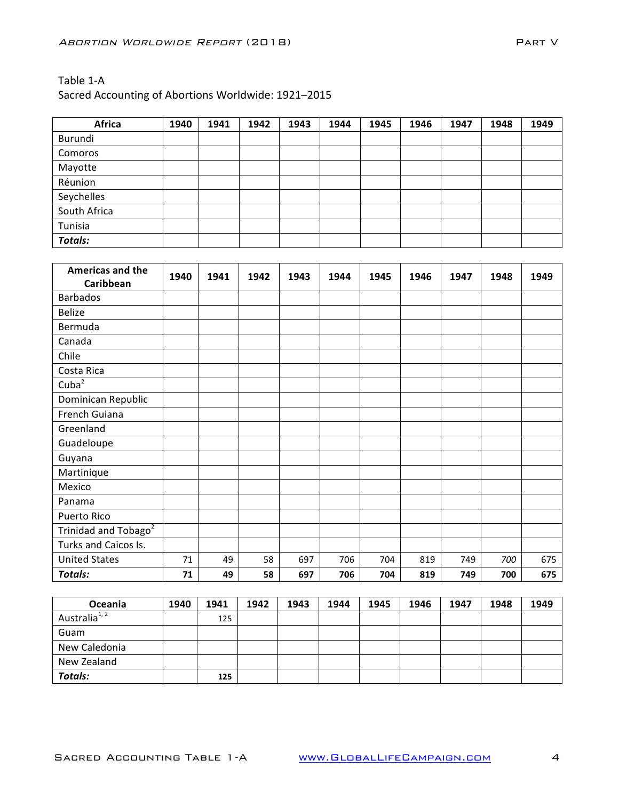| <b>Africa</b>  | 1940 | 1941 | 1942 | 1943 | 1944 | 1945 | 1946 | 1947 | 1948 | 1949 |
|----------------|------|------|------|------|------|------|------|------|------|------|
| Burundi        |      |      |      |      |      |      |      |      |      |      |
| Comoros        |      |      |      |      |      |      |      |      |      |      |
| Mayotte        |      |      |      |      |      |      |      |      |      |      |
| Réunion        |      |      |      |      |      |      |      |      |      |      |
| Seychelles     |      |      |      |      |      |      |      |      |      |      |
| South Africa   |      |      |      |      |      |      |      |      |      |      |
| Tunisia        |      |      |      |      |      |      |      |      |      |      |
| <b>Totals:</b> |      |      |      |      |      |      |      |      |      |      |

| <b>Americas and the</b>          | 1940 | 1941 | 1942 | 1943 | 1944 | 1945 | 1946 | 1947 | 1948 | 1949 |
|----------------------------------|------|------|------|------|------|------|------|------|------|------|
| Caribbean                        |      |      |      |      |      |      |      |      |      |      |
| <b>Barbados</b>                  |      |      |      |      |      |      |      |      |      |      |
| <b>Belize</b>                    |      |      |      |      |      |      |      |      |      |      |
| Bermuda                          |      |      |      |      |      |      |      |      |      |      |
| Canada                           |      |      |      |      |      |      |      |      |      |      |
| Chile                            |      |      |      |      |      |      |      |      |      |      |
| Costa Rica                       |      |      |      |      |      |      |      |      |      |      |
| Cuba $2$                         |      |      |      |      |      |      |      |      |      |      |
| Dominican Republic               |      |      |      |      |      |      |      |      |      |      |
| French Guiana                    |      |      |      |      |      |      |      |      |      |      |
| Greenland                        |      |      |      |      |      |      |      |      |      |      |
| Guadeloupe                       |      |      |      |      |      |      |      |      |      |      |
| Guyana                           |      |      |      |      |      |      |      |      |      |      |
| Martinique                       |      |      |      |      |      |      |      |      |      |      |
| Mexico                           |      |      |      |      |      |      |      |      |      |      |
| Panama                           |      |      |      |      |      |      |      |      |      |      |
| Puerto Rico                      |      |      |      |      |      |      |      |      |      |      |
| Trinidad and Tobago <sup>2</sup> |      |      |      |      |      |      |      |      |      |      |
| Turks and Caicos Is.             |      |      |      |      |      |      |      |      |      |      |
| <b>United States</b>             | 71   | 49   | 58   | 697  | 706  | 704  | 819  | 749  | 700  | 675  |
| <b>Totals:</b>                   | 71   | 49   | 58   | 697  | 706  | 704  | 819  | 749  | 700  | 675  |

| <b>Oceania</b>            | 1940 | 1941 | 1942 | 1943 | 1944 | 1945 | 1946 | 1947 | 1948 | 1949 |
|---------------------------|------|------|------|------|------|------|------|------|------|------|
| Australia <sup>1, 2</sup> |      | 125  |      |      |      |      |      |      |      |      |
| Guam                      |      |      |      |      |      |      |      |      |      |      |
| New Caledonia             |      |      |      |      |      |      |      |      |      |      |
| New Zealand               |      |      |      |      |      |      |      |      |      |      |
| <b>Totals:</b>            |      | 125  |      |      |      |      |      |      |      |      |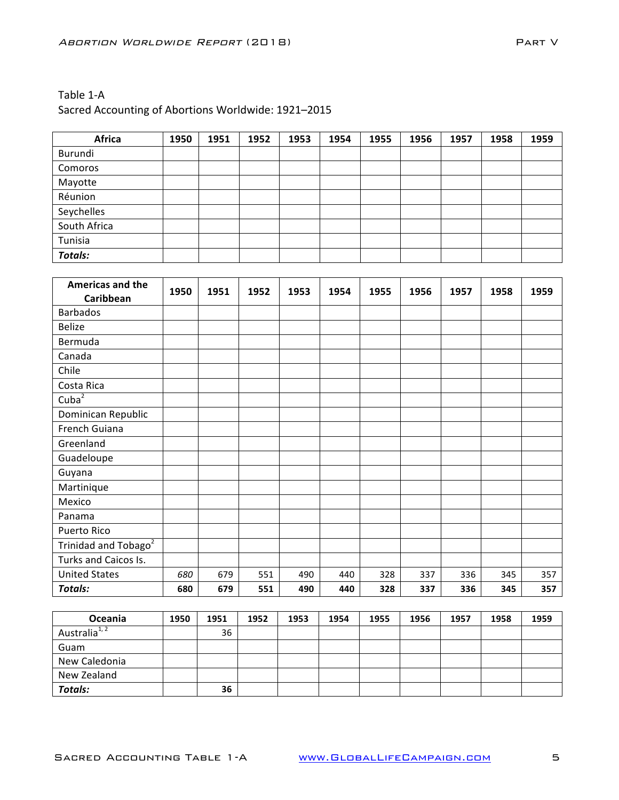| Table 1-A                                           |
|-----------------------------------------------------|
| Sacred Accounting of Abortions Worldwide: 1921-2015 |

| Africa         | 1950 | 1951 | 1952 | 1953 | 1954 | 1955 | 1956 | 1957 | 1958 | 1959 |
|----------------|------|------|------|------|------|------|------|------|------|------|
| Burundi        |      |      |      |      |      |      |      |      |      |      |
| Comoros        |      |      |      |      |      |      |      |      |      |      |
| Mayotte        |      |      |      |      |      |      |      |      |      |      |
| Réunion        |      |      |      |      |      |      |      |      |      |      |
| Seychelles     |      |      |      |      |      |      |      |      |      |      |
| South Africa   |      |      |      |      |      |      |      |      |      |      |
| Tunisia        |      |      |      |      |      |      |      |      |      |      |
| <b>Totals:</b> |      |      |      |      |      |      |      |      |      |      |

| <b>Americas and the</b><br>Caribbean | 1950 | 1951 | 1952 | 1953 | 1954 | 1955 | 1956 | 1957 | 1958 | 1959 |
|--------------------------------------|------|------|------|------|------|------|------|------|------|------|
| <b>Barbados</b>                      |      |      |      |      |      |      |      |      |      |      |
| <b>Belize</b>                        |      |      |      |      |      |      |      |      |      |      |
| Bermuda                              |      |      |      |      |      |      |      |      |      |      |
| Canada                               |      |      |      |      |      |      |      |      |      |      |
| Chile                                |      |      |      |      |      |      |      |      |      |      |
| Costa Rica                           |      |      |      |      |      |      |      |      |      |      |
| Cuba $\overline{2}$                  |      |      |      |      |      |      |      |      |      |      |
| Dominican Republic                   |      |      |      |      |      |      |      |      |      |      |
| French Guiana                        |      |      |      |      |      |      |      |      |      |      |
| Greenland                            |      |      |      |      |      |      |      |      |      |      |
| Guadeloupe                           |      |      |      |      |      |      |      |      |      |      |
| Guyana                               |      |      |      |      |      |      |      |      |      |      |
| Martinique                           |      |      |      |      |      |      |      |      |      |      |
| Mexico                               |      |      |      |      |      |      |      |      |      |      |
| Panama                               |      |      |      |      |      |      |      |      |      |      |
| Puerto Rico                          |      |      |      |      |      |      |      |      |      |      |
| Trinidad and Tobago <sup>2</sup>     |      |      |      |      |      |      |      |      |      |      |
| Turks and Caicos Is.                 |      |      |      |      |      |      |      |      |      |      |
| <b>United States</b>                 | 680  | 679  | 551  | 490  | 440  | 328  | 337  | 336  | 345  | 357  |
| <b>Totals:</b>                       | 680  | 679  | 551  | 490  | 440  | 328  | 337  | 336  | 345  | 357  |

| Oceania                   | 1950 | 1951 | 1952 | 1953 | 1954 | 1955 | 1956 | 1957 | 1958 | 1959 |
|---------------------------|------|------|------|------|------|------|------|------|------|------|
| Australia <sup>1, 2</sup> |      | 36   |      |      |      |      |      |      |      |      |
| Guam                      |      |      |      |      |      |      |      |      |      |      |
| New Caledonia             |      |      |      |      |      |      |      |      |      |      |
| New Zealand               |      |      |      |      |      |      |      |      |      |      |
| Totals:                   |      | 36   |      |      |      |      |      |      |      |      |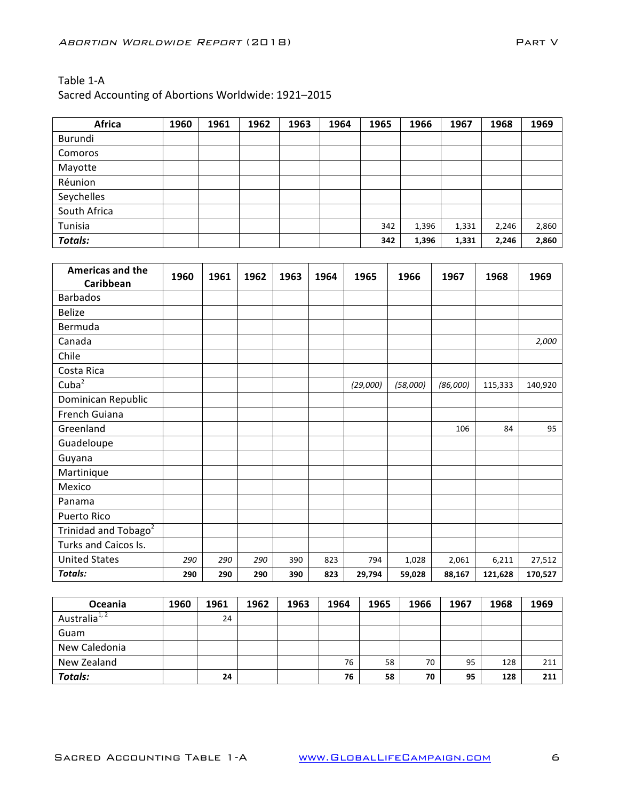| Africa         | 1960 | 1961 | 1962 | 1963 | 1964 | 1965 | 1966  | 1967  | 1968  | 1969  |
|----------------|------|------|------|------|------|------|-------|-------|-------|-------|
| Burundi        |      |      |      |      |      |      |       |       |       |       |
| Comoros        |      |      |      |      |      |      |       |       |       |       |
| Mayotte        |      |      |      |      |      |      |       |       |       |       |
| Réunion        |      |      |      |      |      |      |       |       |       |       |
| Seychelles     |      |      |      |      |      |      |       |       |       |       |
| South Africa   |      |      |      |      |      |      |       |       |       |       |
| Tunisia        |      |      |      |      |      | 342  | 1,396 | 1,331 | 2,246 | 2,860 |
| <b>Totals:</b> |      |      |      |      |      | 342  | 1,396 | 1,331 | 2,246 | 2,860 |

| <b>Americas and the</b><br>Caribbean | 1960 | 1961 | 1962 | 1963 | 1964 | 1965     | 1966     | 1967     | 1968    | 1969    |
|--------------------------------------|------|------|------|------|------|----------|----------|----------|---------|---------|
| <b>Barbados</b>                      |      |      |      |      |      |          |          |          |         |         |
| <b>Belize</b>                        |      |      |      |      |      |          |          |          |         |         |
| Bermuda                              |      |      |      |      |      |          |          |          |         |         |
| Canada                               |      |      |      |      |      |          |          |          |         | 2,000   |
| Chile                                |      |      |      |      |      |          |          |          |         |         |
| Costa Rica                           |      |      |      |      |      |          |          |          |         |         |
| Cuba $2$                             |      |      |      |      |      | (29,000) | (58,000) | (86,000) | 115,333 | 140,920 |
| Dominican Republic                   |      |      |      |      |      |          |          |          |         |         |
| French Guiana                        |      |      |      |      |      |          |          |          |         |         |
| Greenland                            |      |      |      |      |      |          |          | 106      | 84      | 95      |
| Guadeloupe                           |      |      |      |      |      |          |          |          |         |         |
| Guyana                               |      |      |      |      |      |          |          |          |         |         |
| Martinique                           |      |      |      |      |      |          |          |          |         |         |
| Mexico                               |      |      |      |      |      |          |          |          |         |         |
| Panama                               |      |      |      |      |      |          |          |          |         |         |
| Puerto Rico                          |      |      |      |      |      |          |          |          |         |         |
| Trinidad and Tobago <sup>2</sup>     |      |      |      |      |      |          |          |          |         |         |
| Turks and Caicos Is.                 |      |      |      |      |      |          |          |          |         |         |
| <b>United States</b>                 | 290  | 290  | 290  | 390  | 823  | 794      | 1,028    | 2,061    | 6,211   | 27,512  |
| <b>Totals:</b>                       | 290  | 290  | 290  | 390  | 823  | 29,794   | 59,028   | 88,167   | 121,628 | 170,527 |

| Oceania                   | 1960 | 1961 | 1962 | 1963 | 1964 | 1965 | 1966 | 1967 | 1968 | 1969 |
|---------------------------|------|------|------|------|------|------|------|------|------|------|
| Australia <sup>1, 2</sup> |      | 24   |      |      |      |      |      |      |      |      |
| Guam                      |      |      |      |      |      |      |      |      |      |      |
| New Caledonia             |      |      |      |      |      |      |      |      |      |      |
| New Zealand               |      |      |      |      | 76   | 58   | 70   | 95   | 128  | 211  |
| <b>Totals:</b>            |      | 24   |      |      | 76   | 58   | 70   | 95   | 128  | 211  |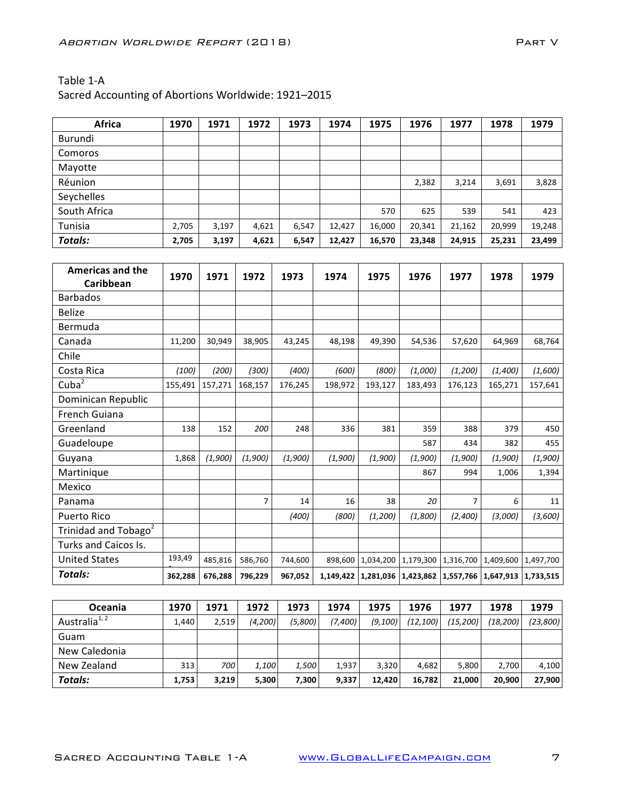| Africa       | 1970  | 1971  | 1972  | 1973  | 1974   | 1975   | 1976   | 1977   | 1978   | 1979   |
|--------------|-------|-------|-------|-------|--------|--------|--------|--------|--------|--------|
| Burundi      |       |       |       |       |        |        |        |        |        |        |
| Comoros      |       |       |       |       |        |        |        |        |        |        |
| Mayotte      |       |       |       |       |        |        |        |        |        |        |
| Réunion      |       |       |       |       |        |        | 2,382  | 3,214  | 3,691  | 3,828  |
| Seychelles   |       |       |       |       |        |        |        |        |        |        |
| South Africa |       |       |       |       |        | 570    | 625    | 539    | 541    | 423    |
| Tunisia      | 2,705 | 3,197 | 4,621 | 6,547 | 12,427 | 16,000 | 20,341 | 21,162 | 20,999 | 19,248 |
| Totals:      | 2,705 | 3,197 | 4,621 | 6,547 | 12,427 | 16,570 | 23,348 | 24,915 | 25,231 | 23,499 |

| <b>Americas and the</b>          | 1970    | 1971    | 1972    | 1973    | 1974    | 1975      | 1976      | 1977      | 1978                                                                  | 1979      |
|----------------------------------|---------|---------|---------|---------|---------|-----------|-----------|-----------|-----------------------------------------------------------------------|-----------|
| Caribbean                        |         |         |         |         |         |           |           |           |                                                                       |           |
| <b>Barbados</b>                  |         |         |         |         |         |           |           |           |                                                                       |           |
| <b>Belize</b>                    |         |         |         |         |         |           |           |           |                                                                       |           |
| Bermuda                          |         |         |         |         |         |           |           |           |                                                                       |           |
| Canada                           | 11,200  | 30,949  | 38,905  | 43,245  | 48,198  | 49,390    | 54,536    | 57,620    | 64,969                                                                | 68,764    |
| Chile                            |         |         |         |         |         |           |           |           |                                                                       |           |
| Costa Rica                       | (100)   | (200)   | (300)   | (400)   | (600)   | (800)     | (1,000)   | (1,200)   | (1,400)                                                               | (1,600)   |
| Cuba <sup>2</sup>                | 155,491 | 157,271 | 168,157 | 176,245 | 198,972 | 193,127   | 183,493   | 176,123   | 165,271                                                               | 157,641   |
| Dominican Republic               |         |         |         |         |         |           |           |           |                                                                       |           |
| French Guiana                    |         |         |         |         |         |           |           |           |                                                                       |           |
| Greenland                        | 138     | 152     | 200     | 248     | 336     | 381       | 359       | 388       | 379                                                                   | 450       |
| Guadeloupe                       |         |         |         |         |         |           | 587       | 434       | 382                                                                   | 455       |
| Guvana                           | 1,868   | (1,900) | (1,900) | (1,900) | (1,900) | (1,900)   | (1,900)   | (1,900)   | (1,900)                                                               | (1,900)   |
| Martinique                       |         |         |         |         |         |           | 867       | 994       | 1,006                                                                 | 1,394     |
| Mexico                           |         |         |         |         |         |           |           |           |                                                                       |           |
| Panama                           |         |         | 7       | 14      | 16      | 38        | 20        | 7         | 6                                                                     | 11        |
| <b>Puerto Rico</b>               |         |         |         | (400)   | (800)   | (1,200)   | (1,800)   | (2,400)   | (3,000)                                                               | (3,600)   |
| Trinidad and Tobago <sup>2</sup> |         |         |         |         |         |           |           |           |                                                                       |           |
| Turks and Caicos Is.             |         |         |         |         |         |           |           |           |                                                                       |           |
| <b>United States</b>             | 193,49  | 485,816 | 586,760 | 744,600 | 898,600 | 1,034,200 | 1,179,300 | 1,316,700 | 1,409,600                                                             | 1,497,700 |
| <b>Totals:</b>                   | 362,288 | 676,288 | 796,229 | 967,052 |         |           |           |           | 1,149,422   1,281,036   1,423,862   1,557,766   1,647,913   1,733,515 |           |

| <b>Oceania</b>            | 1970             | 1971  | 1972    | 1973    | 1974    | 1975     | 1976      | 1977      | 1978      | 1979     |
|---------------------------|------------------|-------|---------|---------|---------|----------|-----------|-----------|-----------|----------|
| Australia <sup>1, 2</sup> | 1,440            | 2,519 | (4.200) | (5,800) | (7,400) | (9, 100) | (12, 100) | (15, 200) | (18, 200) | (23,800) |
| Guam                      |                  |       |         |         |         |          |           |           |           |          |
| New Caledonia             |                  |       |         |         |         |          |           |           |           |          |
| New Zealand               | 313 <sub>1</sub> | 700   | 1,100   | 1,500   | 1,937   | 3.320    | 4.682     | 5.800     | 2.700     | 4,100    |
| Totals:                   | 1,753            | 3,219 | 5,300   | 7,300   | 9,337   | 12,420   | 16,782    | 21.000    | 20.900    | 27,900   |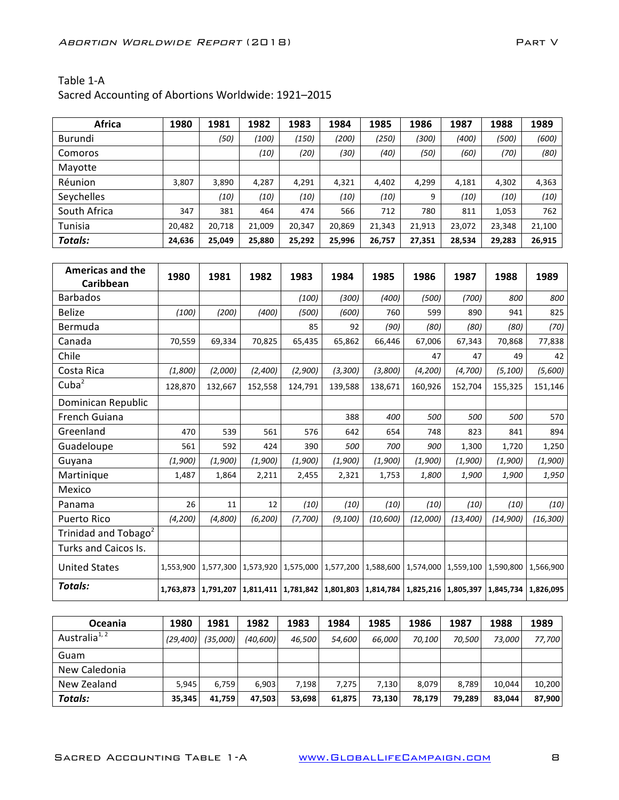| Africa       | 1980   | 1981   | 1982   | 1983   | 1984   | 1985   | 1986   | 1987   | 1988   | 1989   |
|--------------|--------|--------|--------|--------|--------|--------|--------|--------|--------|--------|
| Burundi      |        | (50)   | (100)  | (150)  | (200)  | (250)  | (300)  | (400)  | (500)  | (600)  |
| Comoros      |        |        | (10)   | (20)   | (30)   | (40)   | (50)   | (60)   | (70)   | (80)   |
| Mayotte      |        |        |        |        |        |        |        |        |        |        |
| Réunion      | 3,807  | 3,890  | 4,287  | 4,291  | 4,321  | 4,402  | 4,299  | 4,181  | 4,302  | 4,363  |
| Seychelles   |        | (10)   | (10)   | (10)   | (10)   | (10)   | 9      | (10)   | (10)   | (10)   |
| South Africa | 347    | 381    | 464    | 474    | 566    | 712    | 780    | 811    | 1,053  | 762    |
| Tunisia      | 20,482 | 20,718 | 21.009 | 20,347 | 20,869 | 21,343 | 21,913 | 23,072 | 23,348 | 21,100 |
| Totals:      | 24,636 | 25,049 | 25,880 | 25,292 | 25,996 | 26,757 | 27,351 | 28,534 | 29,283 | 26,915 |

| <b>Americas and the</b><br>Caribbean | 1980      | 1981      | 1982      | 1983    | 1984                | 1985                                    | 1986      | 1987      | 1988      | 1989      |
|--------------------------------------|-----------|-----------|-----------|---------|---------------------|-----------------------------------------|-----------|-----------|-----------|-----------|
| <b>Barbados</b>                      |           |           |           | (100)   | (300)               | (400)                                   | (500)     | (700)     | 800       | 800       |
| <b>Belize</b>                        | (100)     | (200)     | (400)     | (500)   | (600)               | 760                                     | 599       | 890       | 941       | 825       |
| Bermuda                              |           |           |           | 85      | 92                  | (90)                                    | (80)      | (80)      | (80)      | (70)      |
| Canada                               | 70,559    | 69,334    | 70,825    | 65,435  | 65,862              | 66,446                                  | 67,006    | 67,343    | 70,868    | 77,838    |
| Chile                                |           |           |           |         |                     |                                         | 47        | 47        | 49        | 42        |
| Costa Rica                           | (1,800)   | (2,000)   | (2,400)   | (2,900) | (3,300)             | (3,800)                                 | (4, 200)  | (4,700)   | (5, 100)  | (5,600)   |
| Cuba <sup>2</sup>                    | 128,870   | 132,667   | 152,558   | 124,791 | 139,588             | 138,671                                 | 160,926   | 152,704   | 155,325   | 151,146   |
| Dominican Republic                   |           |           |           |         |                     |                                         |           |           |           |           |
| French Guiana                        |           |           |           |         | 388                 | 400                                     | 500       | 500       | 500       | 570       |
| Greenland                            | 470       | 539       | 561       | 576     | 642                 | 654                                     | 748       | 823       | 841       | 894       |
| Guadeloupe                           | 561       | 592       | 424       | 390     | 500                 | 700                                     | 900       | 1,300     | 1,720     | 1,250     |
| Guyana                               | (1,900)   | (1,900)   | (1,900)   | (1,900) | (1,900)             | (1,900)                                 | (1,900)   | (1,900)   | (1,900)   | (1,900)   |
| Martinique                           | 1,487     | 1,864     | 2,211     | 2,455   | 2,321               | 1,753                                   | 1,800     | 1,900     | 1,900     | 1,950     |
| Mexico                               |           |           |           |         |                     |                                         |           |           |           |           |
| Panama                               | 26        | 11        | 12        | (10)    | (10)                | (10)                                    | (10)      | (10)      | (10)      | (10)      |
| <b>Puerto Rico</b>                   | (4,200)   | (4,800)   | (6, 200)  | (7,700) | (9, 100)            | (10,600)                                | (12,000)  | (13, 400) | (14,900)  | (16, 300) |
| Trinidad and Tobago <sup>2</sup>     |           |           |           |         |                     |                                         |           |           |           |           |
| Turks and Caicos Is.                 |           |           |           |         |                     |                                         |           |           |           |           |
| <b>United States</b>                 | 1,553,900 | 1,577,300 | 1,573,920 |         | 1,575,000 1,577,200 | 1,588,600                               | 1,574,000 | 1,559,100 | 1,590,800 | 1,566,900 |
| Totals:                              | 1,763,873 | 1,791,207 | 1,811,411 |         |                     | 1,781,842 1,801,803 1,814,784 1,825,216 |           | 1,805,397 | 1,845,734 | 1,826,095 |

| <b>Oceania</b>            | 1980      | 1981     | 1982     | 1983   | 1984   | 1985   | 1986   | 1987   | 1988   | 1989   |
|---------------------------|-----------|----------|----------|--------|--------|--------|--------|--------|--------|--------|
| Australia <sup>1, 2</sup> | (29, 400) | (35,000) | (40,600) | 46.500 | 54,600 | 66.000 | 70.100 | 70.500 | 73.000 | 77.700 |
| Guam                      |           |          |          |        |        |        |        |        |        |        |
| New Caledonia             |           |          |          |        |        |        |        |        |        |        |
| New Zealand               | 5.945     | 6,759    | 6.903    | 7.198  | 7.275  | 7.130  | 8.079  | 8.789  | 10,044 | 10,200 |
| Totals:                   | 35,345    | 41,759   | 47,503   | 53,698 | 61,875 | 73,130 | 78,179 | 79,289 | 83,044 | 87.900 |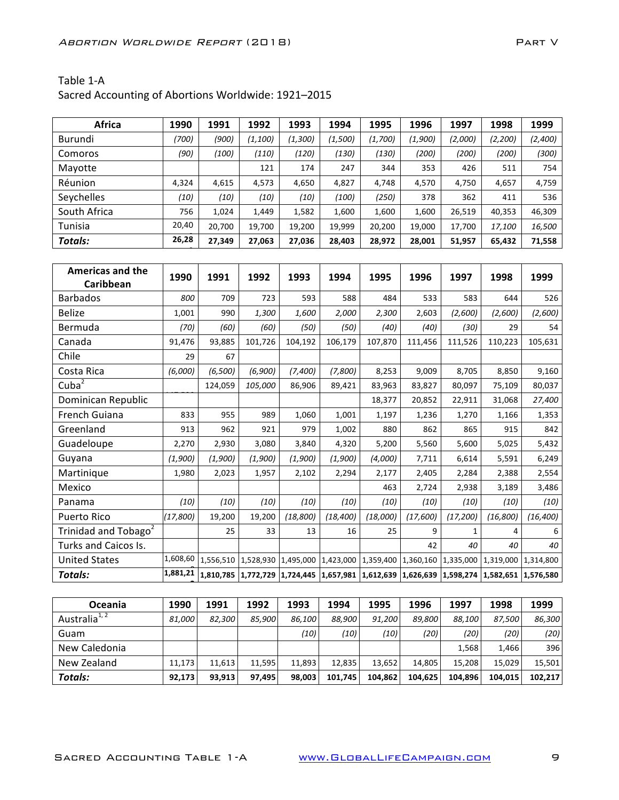| Africa       | 1990  | 1991   | 1992    | 1993     | 1994    | 1995    | 1996    | 1997    | 1998    | 1999    |
|--------------|-------|--------|---------|----------|---------|---------|---------|---------|---------|---------|
| Burundi      | (700) | (900)  | (1,100) | (1, 300) | (1,500) | (1,700) | (1,900) | (2,000) | (2,200) | (2,400) |
| Comoros      | (90)  | (100)  | (110)   | (120)    | (130)   | (130)   | (200)   | (200)   | (200)   | (300)   |
| Mayotte      |       |        | 121     | 174      | 247     | 344     | 353     | 426     | 511     | 754     |
| Réunion      | 4,324 | 4,615  | 4,573   | 4,650    | 4,827   | 4,748   | 4,570   | 4,750   | 4,657   | 4,759   |
| Seychelles   | (10)  | (10)   | (10)    | (10)     | (100)   | (250)   | 378     | 362     | 411     | 536     |
| South Africa | 756   | 1,024  | 1,449   | 1,582    | 1,600   | 1,600   | 1,600   | 26,519  | 40,353  | 46,309  |
| Tunisia      | 20,40 | 20,700 | 19,700  | 19,200   | 19,999  | 20,200  | 19,000  | 17,700  | 17,100  | 16,500  |
| Totals:      | 26,28 | 27,349 | 27,063  | 27,036   | 28,403  | 28,972  | 28,001  | 51,957  | 65,432  | 71,558  |
|              |       |        |         |          |         |         |         |         |         |         |

| <b>Americas and the</b>          | 1990     | 1991      | 1992      | 1993      | 1994                          | 1995                          | 1996      | 1997      | 1998      | 1999      |
|----------------------------------|----------|-----------|-----------|-----------|-------------------------------|-------------------------------|-----------|-----------|-----------|-----------|
| Caribbean                        |          |           |           |           |                               |                               |           |           |           |           |
| <b>Barbados</b>                  | 800      | 709       | 723       | 593       | 588                           | 484                           | 533       | 583       | 644       | 526       |
| <b>Belize</b>                    | 1,001    | 990       | 1,300     | 1,600     | 2,000                         | 2,300                         | 2,603     | (2,600)   | (2,600)   | (2,600)   |
| Bermuda                          | (70)     | (60)      | (60)      | (50)      | (50)                          | (40)                          | (40)      | (30)      | 29        | 54        |
| Canada                           | 91,476   | 93,885    | 101,726   | 104,192   | 106,179                       | 107,870                       | 111,456   | 111,526   | 110,223   | 105,631   |
| Chile                            | 29       | 67        |           |           |                               |                               |           |           |           |           |
| Costa Rica                       | (6,000)  | (6, 500)  | (6,900)   | (7,400)   | (7,800)                       | 8,253                         | 9,009     | 8,705     | 8,850     | 9,160     |
| Cuba <sup>2</sup>                |          | 124,059   | 105,000   | 86,906    | 89,421                        | 83,963                        | 83,827    | 80,097    | 75,109    | 80,037    |
| Dominican Republic               |          |           |           |           |                               | 18,377                        | 20,852    | 22,911    | 31,068    | 27,400    |
| French Guiana                    | 833      | 955       | 989       | 1,060     | 1,001                         | 1,197                         | 1,236     | 1,270     | 1,166     | 1,353     |
| Greenland                        | 913      | 962       | 921       | 979       | 1,002                         | 880                           | 862       | 865       | 915       | 842       |
| Guadeloupe                       | 2,270    | 2,930     | 3,080     | 3,840     | 4,320                         | 5,200                         | 5,560     | 5,600     | 5,025     | 5,432     |
| Guyana                           | (1,900)  | (1,900)   | (1,900)   | (1,900)   | (1,900)                       | (4,000)                       | 7,711     | 6,614     | 5,591     | 6,249     |
| Martinique                       | 1,980    | 2,023     | 1,957     | 2,102     | 2,294                         | 2,177                         | 2,405     | 2,284     | 2,388     | 2,554     |
| Mexico                           |          |           |           |           |                               | 463                           | 2,724     | 2,938     | 3,189     | 3,486     |
| Panama                           | (10)     | (10)      | (10)      | (10)      | (10)                          | (10)                          | (10)      | (10)      | (10)      | (10)      |
| Puerto Rico                      | (17,800) | 19,200    | 19,200    | (18, 800) | (18, 400)                     | (18,000)                      | (17,600)  | (17, 200) | (16, 800) | (16, 400) |
| Trinidad and Tobago <sup>2</sup> |          | 25        | 33        | 13        | 16                            | 25                            | 9         | 1         | 4         | 6         |
| Turks and Caicos Is.             |          |           |           |           |                               |                               | 42        | 40        | 40        | 40        |
| <b>United States</b>             | 1,608,60 | 1,556,510 | 1,528,930 | 1,495,000 |                               | 1,423,000 1,359,400 1,360,160 |           | 1,335,000 | 1,319,000 | 1,314,800 |
| <b>Totals:</b>                   | 1,881,21 | 1,810,785 | 1,772,729 |           | 1,724,445 1,657,981 1,612,639 |                               | 1,626,639 | 1,598,274 | 1,582,651 | 1,576,580 |

| <b>Oceania</b>            | 1990   | 1991   | 1992   | 1993   | 1994    | 1995    | 1996    | 1997    | 1998    | 1999    |
|---------------------------|--------|--------|--------|--------|---------|---------|---------|---------|---------|---------|
| Australia <sup>1, 2</sup> | 81.000 | 82.300 | 85.900 | 86.100 | 88.900  | 91.200  | 89.800  | 88.100  | 87.500  | 86,300  |
| Guam                      |        |        |        | (10)   | (10)    | (10)    | (20)    | (20)    | (20)    | (20)    |
| New Caledonia             |        |        |        |        |         |         |         | 1,568   | 1.466   | 396     |
| New Zealand               | 11,173 | 11.613 | 11.595 | 11.893 | 12.835  | 13.652  | 14.805  | 15.208  | 15,029  | 15,501  |
| Totals:                   | 92.173 | 93.913 | 97.495 | 98,003 | 101.745 | 104.862 | 104.625 | 104.896 | 104.015 | 102.217 |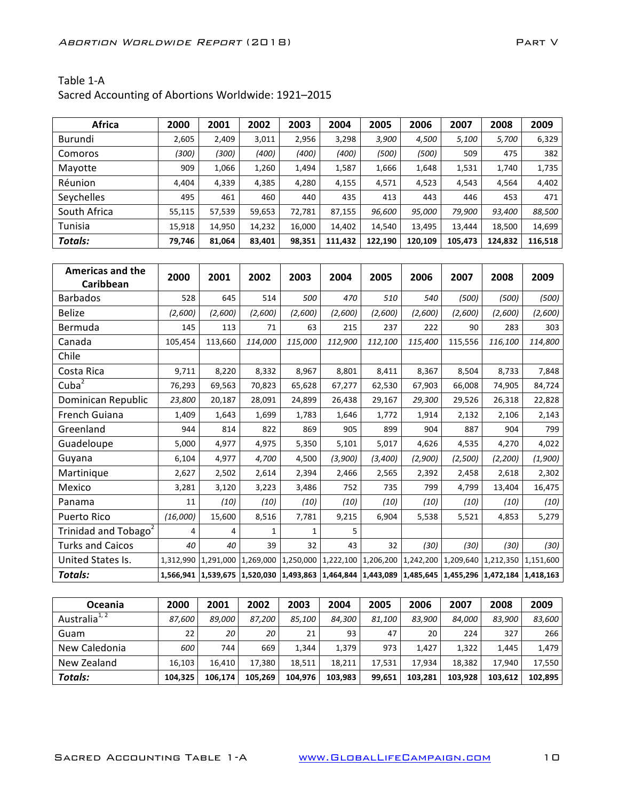| Africa       | 2000   | 2001   | 2002   | 2003   | 2004    | 2005    | 2006    | 2007    | 2008    | 2009    |
|--------------|--------|--------|--------|--------|---------|---------|---------|---------|---------|---------|
| Burundi      | 2,605  | 2,409  | 3,011  | 2,956  | 3,298   | 3,900   | 4,500   | 5,100   | 5,700   | 6,329   |
| Comoros      | (300)  | (300)  | (400)  | (400)  | (400)   | (500)   | (500)   | 509     | 475     | 382     |
| Mayotte      | 909    | 1,066  | 1,260  | 1,494  | 1,587   | 1,666   | 1,648   | 1,531   | 1,740   | 1,735   |
| Réunion      | 4,404  | 4,339  | 4,385  | 4,280  | 4,155   | 4,571   | 4,523   | 4,543   | 4,564   | 4,402   |
| Seychelles   | 495    | 461    | 460    | 440    | 435     | 413     | 443     | 446     | 453     | 471     |
| South Africa | 55,115 | 57,539 | 59,653 | 72,781 | 87,155  | 96,600  | 95,000  | 79,900  | 93,400  | 88,500  |
| Tunisia      | 15,918 | 14,950 | 14,232 | 16,000 | 14,402  | 14,540  | 13,495  | 13,444  | 18,500  | 14,699  |
| Totals:      | 79,746 | 81,064 | 83,401 | 98,351 | 111,432 | 122,190 | 120,109 | 105,473 | 124,832 | 116,518 |

| <b>Americas and the</b>          | 2000      | 2001                                                                                                                  | 2002    | 2003      | 2004      | 2005    | 2006                          | 2007    | 2008      | 2009      |
|----------------------------------|-----------|-----------------------------------------------------------------------------------------------------------------------|---------|-----------|-----------|---------|-------------------------------|---------|-----------|-----------|
| Caribbean                        |           |                                                                                                                       |         |           |           |         |                               |         |           |           |
| <b>Barbados</b>                  | 528       | 645                                                                                                                   | 514     | 500       | 470       | 510     | 540                           | (500)   | (500)     | (500)     |
| <b>Belize</b>                    | (2,600)   | (2,600)                                                                                                               | (2,600) | (2,600)   | (2,600)   | (2,600) | (2,600)                       | (2,600) | (2,600)   | (2,600)   |
| Bermuda                          | 145       | 113                                                                                                                   | 71      | 63        | 215       | 237     | 222                           | 90      | 283       | 303       |
| Canada                           | 105,454   | 113.660                                                                                                               | 114,000 | 115,000   | 112,900   | 112,100 | 115,400                       | 115,556 | 116,100   | 114,800   |
| Chile                            |           |                                                                                                                       |         |           |           |         |                               |         |           |           |
| Costa Rica                       | 9,711     | 8,220                                                                                                                 | 8,332   | 8,967     | 8,801     | 8,411   | 8,367                         | 8,504   | 8,733     | 7,848     |
| Cuba <sup>2</sup>                | 76,293    | 69,563                                                                                                                | 70,823  | 65,628    | 67,277    | 62,530  | 67,903                        | 66,008  | 74,905    | 84,724    |
| Dominican Republic               | 23,800    | 20,187                                                                                                                | 28,091  | 24,899    | 26,438    | 29,167  | 29,300                        | 29,526  | 26,318    | 22,828    |
| French Guiana                    | 1,409     | 1,643                                                                                                                 | 1,699   | 1,783     | 1,646     | 1,772   | 1,914                         | 2,132   | 2,106     | 2,143     |
| Greenland                        | 944       | 814                                                                                                                   | 822     | 869       | 905       | 899     | 904                           | 887     | 904       | 799       |
| Guadeloupe                       | 5,000     | 4,977                                                                                                                 | 4,975   | 5,350     | 5,101     | 5,017   | 4,626                         | 4,535   | 4,270     | 4,022     |
| Guyana                           | 6,104     | 4,977                                                                                                                 | 4,700   | 4,500     | (3,900)   | (3,400) | (2,900)                       | (2,500) | (2, 200)  | (1,900)   |
| Martinique                       | 2,627     | 2,502                                                                                                                 | 2,614   | 2,394     | 2,466     | 2,565   | 2,392                         | 2,458   | 2,618     | 2,302     |
| Mexico                           | 3,281     | 3,120                                                                                                                 | 3,223   | 3,486     | 752       | 735     | 799                           | 4,799   | 13,404    | 16,475    |
| Panama                           | 11        | (10)                                                                                                                  | (10)    | (10)      | (10)      | (10)    | (10)                          | (10)    | (10)      | (10)      |
| Puerto Rico                      | (16,000)  | 15,600                                                                                                                | 8,516   | 7,781     | 9,215     | 6,904   | 5,538                         | 5,521   | 4,853     | 5,279     |
| Trinidad and Tobago <sup>2</sup> | 4         | 4                                                                                                                     | 1       | 1         | 5         |         |                               |         |           |           |
| <b>Turks and Caicos</b>          | 40        | 40                                                                                                                    | 39      | 32        | 43        | 32      | (30)                          | (30)    | (30)      | (30)      |
| United States Is.                | 1,312,990 | 1,291,000 1,269,000                                                                                                   |         | 1,250,000 | 1,222,100 |         | 1,206,200 1,242,200 1,209,640 |         | 1,212,350 | 1,151,600 |
| <b>Totals:</b>                   |           | 1,566,941   1,539,675   1,520,030   1,493,863   1,464,844   1,443,089   1,485,645   1,455,296   1,472,184   1,418,163 |         |           |           |         |                               |         |           |           |

| <b>Oceania</b>            | 2000    | 2001    | 2002    | 2003    | 2004    | 2005   | 2006    | 2007    | 2008    | 2009    |
|---------------------------|---------|---------|---------|---------|---------|--------|---------|---------|---------|---------|
| Australia <sup>1, 2</sup> | 87.600  | 89.000  | 87.200  | 85.100  | 84.300  | 81.100 | 83.900  | 84.000  | 83.900  | 83,600  |
| Guam                      | 22      | 20 I    | 20      | 21      | 93      | 47     | 20      | 224     | 327     | 266     |
| New Caledonia             | 600     | 744     | 669     | 1.344   | 1,379   | 973    | 1.427   | 1,322   | 1.445   | 1,479   |
| New Zealand               | 16,103  | 16.410  | 17.380  | 18.511  | 18,211  | 17.531 | 17.934  | 18,382  | 17.940  | 17,550  |
| Totals:                   | 104.325 | 106.174 | 105.269 | 104.976 | 103.983 | 99.651 | 103.281 | 103.928 | 103.612 | 102.895 |